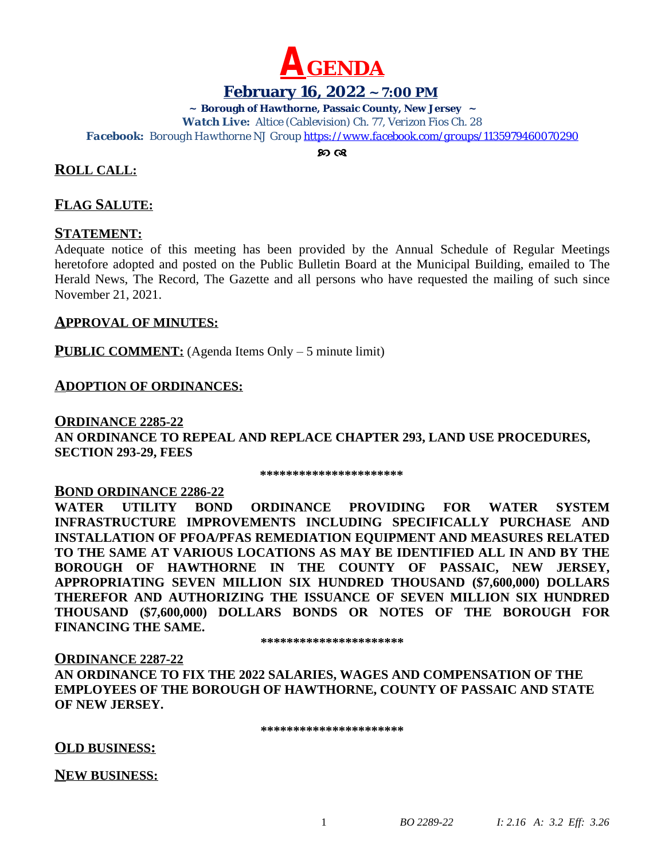

# **February 16, 2022 ~ 7:00 PM**

**~ Borough of Hawthorne, Passaic County, New Jersey ~**

*Watch Live: Altice (Cablevision) Ch. 77, Verizon Fios Ch. 28 Facebook: Borough Hawthorne NJ Group <https://www.facebook.com/groups/1135979460070290>*

 $\infty$   $\infty$ 

# **ROLL CALL:**

# **FLAG SALUTE:**

### **STATEMENT:**

Adequate notice of this meeting has been provided by the Annual Schedule of Regular Meetings heretofore adopted and posted on the Public Bulletin Board at the Municipal Building, emailed to The Herald News, The Record, The Gazette and all persons who have requested the mailing of such since November 21, 2021.

### **APPROVAL OF MINUTES:**

**PUBLIC COMMENT:** (Agenda Items Only – 5 minute limit)

### **ADOPTION OF ORDINANCES:**

### **ORDINANCE 2285-22 AN ORDINANCE TO REPEAL AND REPLACE CHAPTER 293, LAND USE PROCEDURES, SECTION 293-29, FEES**

 **\*\*\*\*\*\*\*\*\*\*\*\*\*\*\*\*\*\*\*\*\*\***

#### **BOND ORDINANCE 2286-22**

**WATER UTILITY BOND ORDINANCE PROVIDING FOR WATER SYSTEM INFRASTRUCTURE IMPROVEMENTS INCLUDING SPECIFICALLY PURCHASE AND INSTALLATION OF PFOA/PFAS REMEDIATION EQUIPMENT AND MEASURES RELATED TO THE SAME AT VARIOUS LOCATIONS AS MAY BE IDENTIFIED ALL IN AND BY THE BOROUGH OF HAWTHORNE IN THE COUNTY OF PASSAIC, NEW JERSEY, APPROPRIATING SEVEN MILLION SIX HUNDRED THOUSAND (\$7,600,000) DOLLARS THEREFOR AND AUTHORIZING THE ISSUANCE OF SEVEN MILLION SIX HUNDRED THOUSAND (\$7,600,000) DOLLARS BONDS OR NOTES OF THE BOROUGH FOR FINANCING THE SAME.**

**\*\*\*\*\*\*\*\*\*\*\*\*\*\*\*\*\*\*\*\*\*\***

#### **ORDINANCE 2287-22**

**AN ORDINANCE TO FIX THE 2022 SALARIES, WAGES AND COMPENSATION OF THE EMPLOYEES OF THE BOROUGH OF HAWTHORNE, COUNTY OF PASSAIC AND STATE OF NEW JERSEY.**

**\*\*\*\*\*\*\*\*\*\*\*\*\*\*\*\*\*\*\*\*\*\***

### **OLD BUSINESS:**

**NEW BUSINESS:**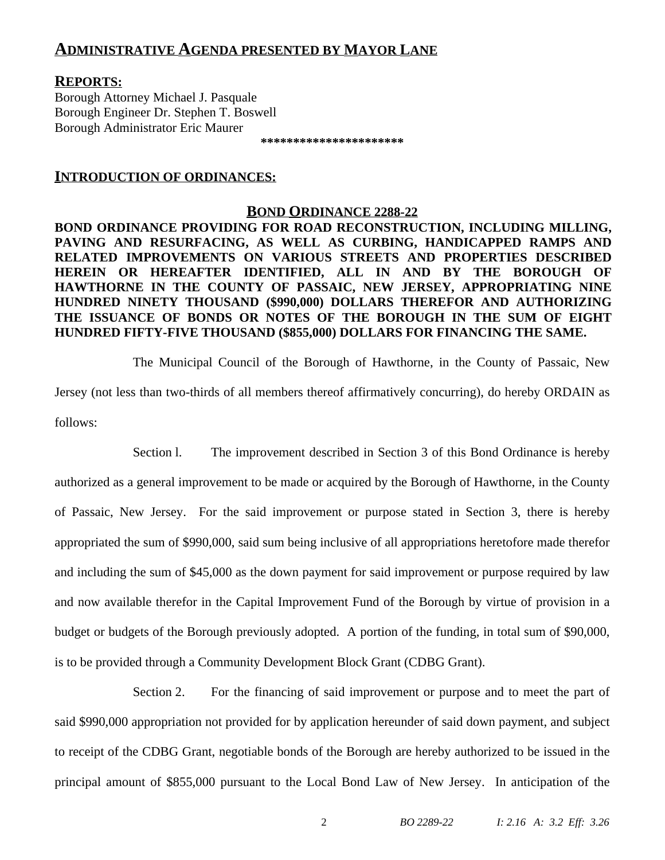# **ADMINISTRATIVE AGENDA PRESENTED BY MAYOR LANE**

## **REPORTS:**

Borough Attorney Michael J. Pasquale Borough Engineer Dr. Stephen T. Boswell Borough Administrator Eric Maurer

**\*\*\*\*\*\*\*\*\*\*\*\*\*\*\*\*\*\*\*\*\*\***

#### **INTRODUCTION OF ORDINANCES:**

#### **BOND ORDINANCE 2288-22**

**BOND ORDINANCE PROVIDING FOR ROAD RECONSTRUCTION, INCLUDING MILLING, PAVING AND RESURFACING, AS WELL AS CURBING, HANDICAPPED RAMPS AND RELATED IMPROVEMENTS ON VARIOUS STREETS AND PROPERTIES DESCRIBED HEREIN OR HEREAFTER IDENTIFIED, ALL IN AND BY THE BOROUGH OF HAWTHORNE IN THE COUNTY OF PASSAIC, NEW JERSEY, APPROPRIATING NINE HUNDRED NINETY THOUSAND (\$990,000) DOLLARS THEREFOR AND AUTHORIZING THE ISSUANCE OF BONDS OR NOTES OF THE BOROUGH IN THE SUM OF EIGHT HUNDRED FIFTY-FIVE THOUSAND (\$855,000) DOLLARS FOR FINANCING THE SAME.**

The Municipal Council of the Borough of Hawthorne, in the County of Passaic, New Jersey (not less than two-thirds of all members thereof affirmatively concurring), do hereby ORDAIN as follows:

Section l. The improvement described in Section 3 of this Bond Ordinance is hereby authorized as a general improvement to be made or acquired by the Borough of Hawthorne, in the County of Passaic, New Jersey. For the said improvement or purpose stated in Section 3, there is hereby appropriated the sum of \$990,000, said sum being inclusive of all appropriations heretofore made therefor and including the sum of \$45,000 as the down payment for said improvement or purpose required by law and now available therefor in the Capital Improvement Fund of the Borough by virtue of provision in a budget or budgets of the Borough previously adopted. A portion of the funding, in total sum of \$90,000, is to be provided through a Community Development Block Grant (CDBG Grant).

Section 2. For the financing of said improvement or purpose and to meet the part of said \$990,000 appropriation not provided for by application hereunder of said down payment, and subject to receipt of the CDBG Grant, negotiable bonds of the Borough are hereby authorized to be issued in the principal amount of \$855,000 pursuant to the Local Bond Law of New Jersey. In anticipation of the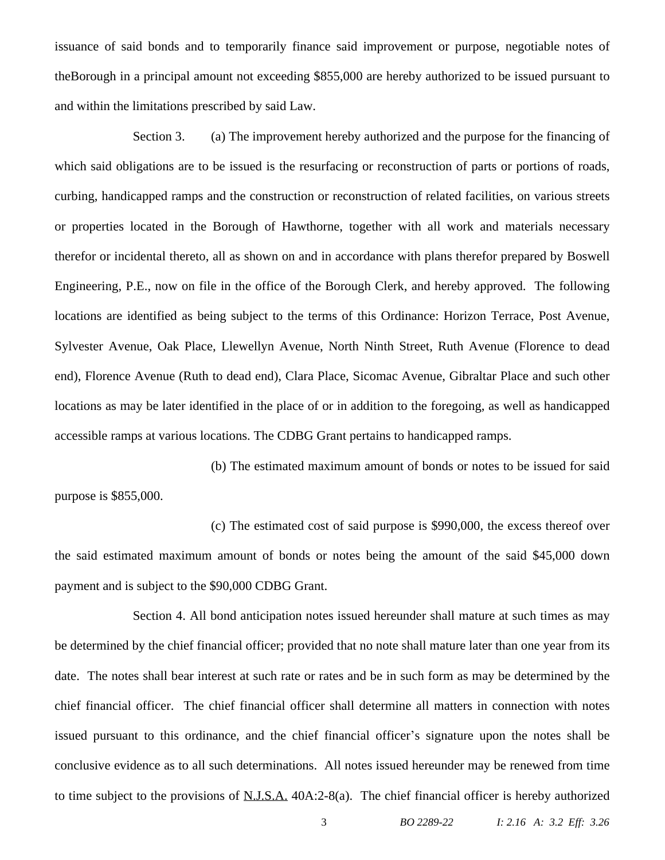issuance of said bonds and to temporarily finance said improvement or purpose, negotiable notes of theBorough in a principal amount not exceeding \$855,000 are hereby authorized to be issued pursuant to and within the limitations prescribed by said Law.

Section 3. (a) The improvement hereby authorized and the purpose for the financing of which said obligations are to be issued is the resurfacing or reconstruction of parts or portions of roads, curbing, handicapped ramps and the construction or reconstruction of related facilities, on various streets or properties located in the Borough of Hawthorne, together with all work and materials necessary therefor or incidental thereto, all as shown on and in accordance with plans therefor prepared by Boswell Engineering, P.E., now on file in the office of the Borough Clerk, and hereby approved. The following locations are identified as being subject to the terms of this Ordinance: Horizon Terrace, Post Avenue, Sylvester Avenue, Oak Place, Llewellyn Avenue, North Ninth Street, Ruth Avenue (Florence to dead end), Florence Avenue (Ruth to dead end), Clara Place, Sicomac Avenue, Gibraltar Place and such other locations as may be later identified in the place of or in addition to the foregoing, as well as handicapped accessible ramps at various locations. The CDBG Grant pertains to handicapped ramps.

(b) The estimated maximum amount of bonds or notes to be issued for said purpose is \$855,000.

(c) The estimated cost of said purpose is \$990,000, the excess thereof over the said estimated maximum amount of bonds or notes being the amount of the said \$45,000 down payment and is subject to the \$90,000 CDBG Grant.

Section 4. All bond anticipation notes issued hereunder shall mature at such times as may be determined by the chief financial officer; provided that no note shall mature later than one year from its date. The notes shall bear interest at such rate or rates and be in such form as may be determined by the chief financial officer. The chief financial officer shall determine all matters in connection with notes issued pursuant to this ordinance, and the chief financial officer's signature upon the notes shall be conclusive evidence as to all such determinations. All notes issued hereunder may be renewed from time to time subject to the provisions of N.J.S.A. 40A:2-8(a). The chief financial officer is hereby authorized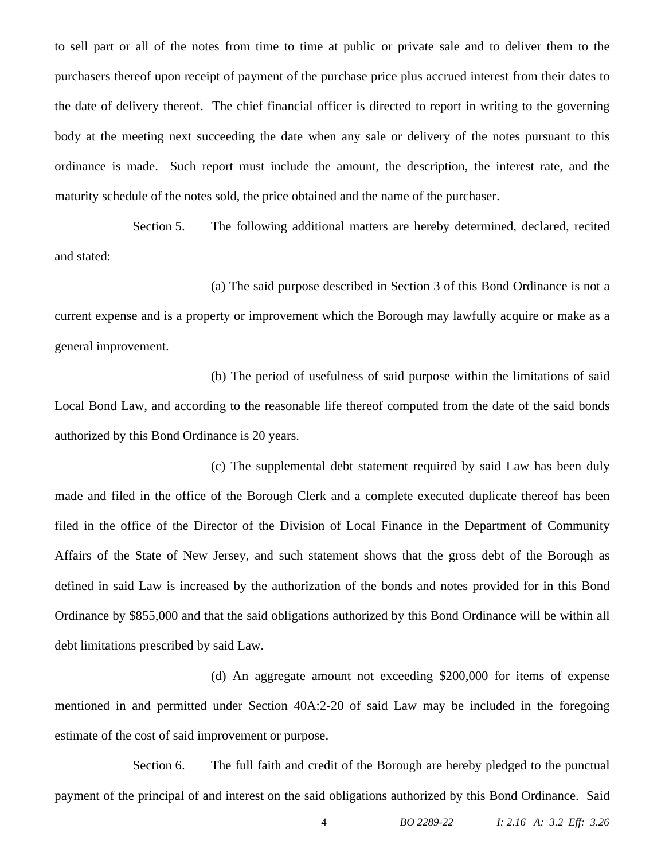to sell part or all of the notes from time to time at public or private sale and to deliver them to the purchasers thereof upon receipt of payment of the purchase price plus accrued interest from their dates to the date of delivery thereof. The chief financial officer is directed to report in writing to the governing body at the meeting next succeeding the date when any sale or delivery of the notes pursuant to this ordinance is made. Such report must include the amount, the description, the interest rate, and the maturity schedule of the notes sold, the price obtained and the name of the purchaser.

Section 5. The following additional matters are hereby determined, declared, recited and stated:

(a) The said purpose described in Section 3 of this Bond Ordinance is not a current expense and is a property or improvement which the Borough may lawfully acquire or make as a general improvement.

(b) The period of usefulness of said purpose within the limitations of said Local Bond Law, and according to the reasonable life thereof computed from the date of the said bonds authorized by this Bond Ordinance is 20 years.

(c) The supplemental debt statement required by said Law has been duly made and filed in the office of the Borough Clerk and a complete executed duplicate thereof has been filed in the office of the Director of the Division of Local Finance in the Department of Community Affairs of the State of New Jersey, and such statement shows that the gross debt of the Borough as defined in said Law is increased by the authorization of the bonds and notes provided for in this Bond Ordinance by \$855,000 and that the said obligations authorized by this Bond Ordinance will be within all debt limitations prescribed by said Law.

(d) An aggregate amount not exceeding \$200,000 for items of expense mentioned in and permitted under Section 40A:2-20 of said Law may be included in the foregoing estimate of the cost of said improvement or purpose.

Section 6. The full faith and credit of the Borough are hereby pledged to the punctual payment of the principal of and interest on the said obligations authorized by this Bond Ordinance. Said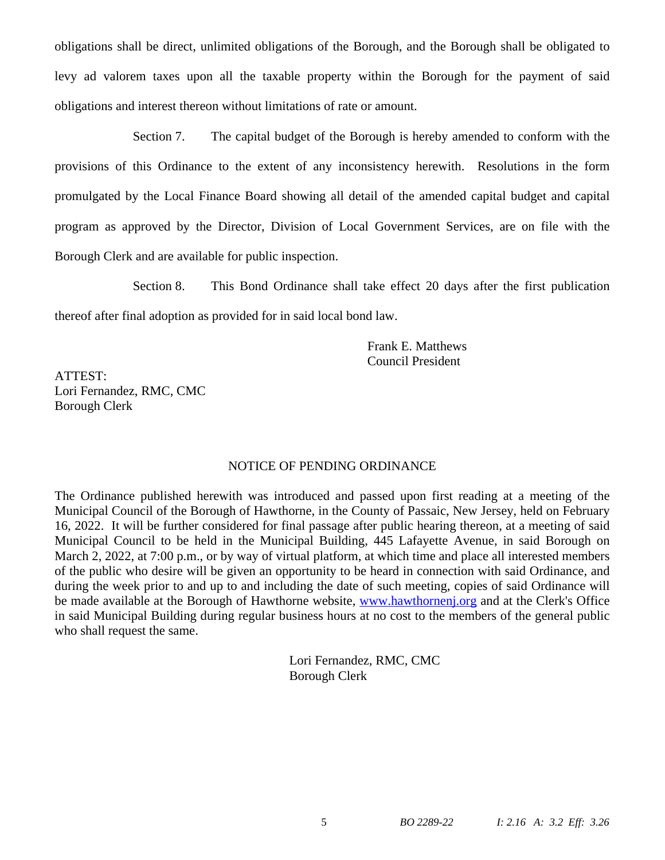obligations shall be direct, unlimited obligations of the Borough, and the Borough shall be obligated to levy ad valorem taxes upon all the taxable property within the Borough for the payment of said obligations and interest thereon without limitations of rate or amount.

Section 7. The capital budget of the Borough is hereby amended to conform with the provisions of this Ordinance to the extent of any inconsistency herewith. Resolutions in the form promulgated by the Local Finance Board showing all detail of the amended capital budget and capital program as approved by the Director, Division of Local Government Services, are on file with the Borough Clerk and are available for public inspection.

Section 8. This Bond Ordinance shall take effect 20 days after the first publication

thereof after final adoption as provided for in said local bond law.

Frank E. Matthews Council President

ATTEST: Lori Fernandez, RMC, CMC Borough Clerk

### NOTICE OF PENDING ORDINANCE

The Ordinance published herewith was introduced and passed upon first reading at a meeting of the Municipal Council of the Borough of Hawthorne, in the County of Passaic, New Jersey, held on February 16, 2022. It will be further considered for final passage after public hearing thereon, at a meeting of said Municipal Council to be held in the Municipal Building, 445 Lafayette Avenue, in said Borough on March 2, 2022, at 7:00 p.m., or by way of virtual platform, at which time and place all interested members of the public who desire will be given an opportunity to be heard in connection with said Ordinance, and during the week prior to and up to and including the date of such meeting, copies of said Ordinance will be made available at the Borough of Hawthorne website, [www.hawthornenj.org](http://www.hawthornenj.org) and at the Clerk's Office in said Municipal Building during regular business hours at no cost to the members of the general public who shall request the same.

> Lori Fernandez, RMC, CMC Borough Clerk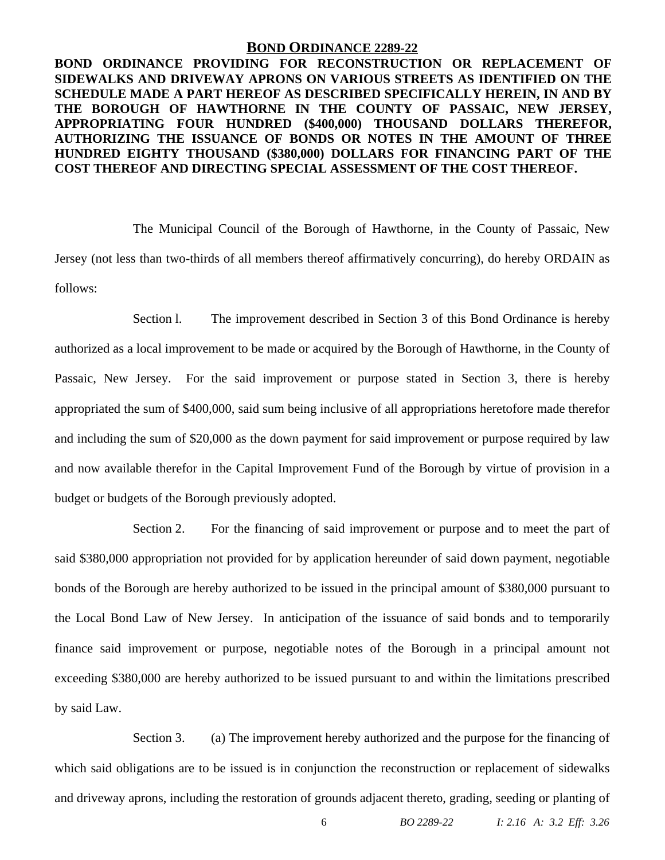#### **BOND ORDINANCE 2289-22**

**BOND ORDINANCE PROVIDING FOR RECONSTRUCTION OR REPLACEMENT OF SIDEWALKS AND DRIVEWAY APRONS ON VARIOUS STREETS AS IDENTIFIED ON THE SCHEDULE MADE A PART HEREOF AS DESCRIBED SPECIFICALLY HEREIN, IN AND BY THE BOROUGH OF HAWTHORNE IN THE COUNTY OF PASSAIC, NEW JERSEY, APPROPRIATING FOUR HUNDRED (\$400,000) THOUSAND DOLLARS THEREFOR, AUTHORIZING THE ISSUANCE OF BONDS OR NOTES IN THE AMOUNT OF THREE HUNDRED EIGHTY THOUSAND (\$380,000) DOLLARS FOR FINANCING PART OF THE COST THEREOF AND DIRECTING SPECIAL ASSESSMENT OF THE COST THEREOF.**

The Municipal Council of the Borough of Hawthorne, in the County of Passaic, New Jersey (not less than two-thirds of all members thereof affirmatively concurring), do hereby ORDAIN as follows:

Section l. The improvement described in Section 3 of this Bond Ordinance is hereby authorized as a local improvement to be made or acquired by the Borough of Hawthorne, in the County of Passaic, New Jersey. For the said improvement or purpose stated in Section 3, there is hereby appropriated the sum of \$400,000, said sum being inclusive of all appropriations heretofore made therefor and including the sum of \$20,000 as the down payment for said improvement or purpose required by law and now available therefor in the Capital Improvement Fund of the Borough by virtue of provision in a budget or budgets of the Borough previously adopted.

Section 2. For the financing of said improvement or purpose and to meet the part of said \$380,000 appropriation not provided for by application hereunder of said down payment, negotiable bonds of the Borough are hereby authorized to be issued in the principal amount of \$380,000 pursuant to the Local Bond Law of New Jersey. In anticipation of the issuance of said bonds and to temporarily finance said improvement or purpose, negotiable notes of the Borough in a principal amount not exceeding \$380,000 are hereby authorized to be issued pursuant to and within the limitations prescribed by said Law.

Section 3. (a) The improvement hereby authorized and the purpose for the financing of which said obligations are to be issued is in conjunction the reconstruction or replacement of sidewalks and driveway aprons, including the restoration of grounds adjacent thereto, grading, seeding or planting of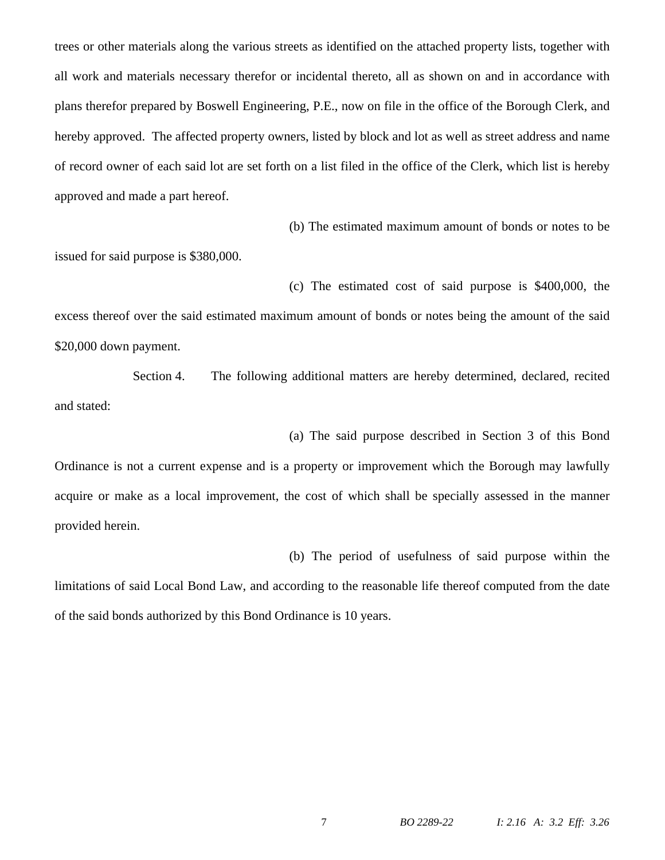trees or other materials along the various streets as identified on the attached property lists, together with all work and materials necessary therefor or incidental thereto, all as shown on and in accordance with plans therefor prepared by Boswell Engineering, P.E., now on file in the office of the Borough Clerk, and hereby approved. The affected property owners, listed by block and lot as well as street address and name of record owner of each said lot are set forth on a list filed in the office of the Clerk, which list is hereby approved and made a part hereof.

(b) The estimated maximum amount of bonds or notes to be

issued for said purpose is \$380,000.

(c) The estimated cost of said purpose is \$400,000, the excess thereof over the said estimated maximum amount of bonds or notes being the amount of the said \$20,000 down payment.

Section 4. The following additional matters are hereby determined, declared, recited and stated:

(a) The said purpose described in Section 3 of this Bond

Ordinance is not a current expense and is a property or improvement which the Borough may lawfully acquire or make as a local improvement, the cost of which shall be specially assessed in the manner provided herein.

(b) The period of usefulness of said purpose within the

limitations of said Local Bond Law, and according to the reasonable life thereof computed from the date of the said bonds authorized by this Bond Ordinance is 10 years.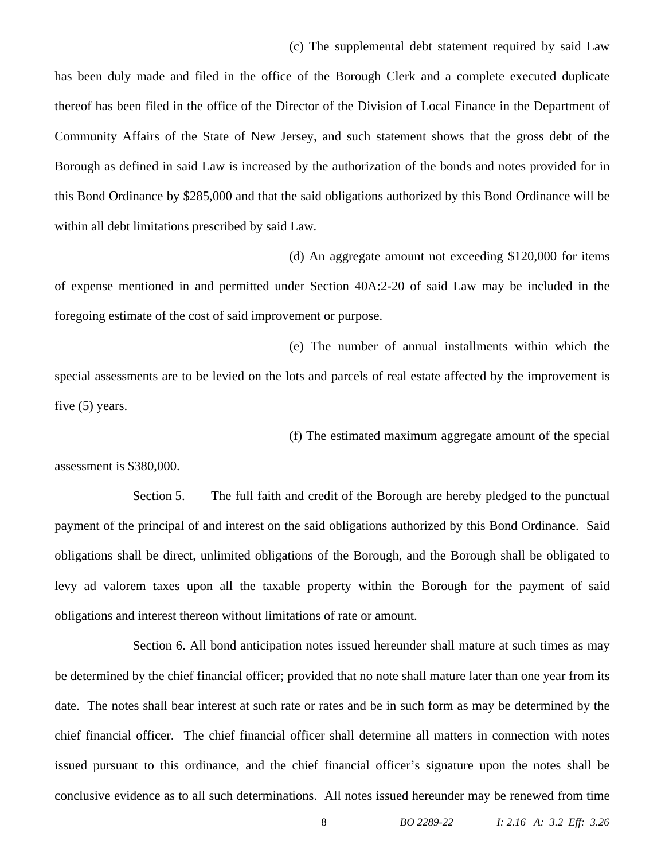(c) The supplemental debt statement required by said Law

has been duly made and filed in the office of the Borough Clerk and a complete executed duplicate thereof has been filed in the office of the Director of the Division of Local Finance in the Department of Community Affairs of the State of New Jersey, and such statement shows that the gross debt of the Borough as defined in said Law is increased by the authorization of the bonds and notes provided for in this Bond Ordinance by \$285,000 and that the said obligations authorized by this Bond Ordinance will be within all debt limitations prescribed by said Law.

(d) An aggregate amount not exceeding \$120,000 for items of expense mentioned in and permitted under Section 40A:2-20 of said Law may be included in the foregoing estimate of the cost of said improvement or purpose.

(e) The number of annual installments within which the special assessments are to be levied on the lots and parcels of real estate affected by the improvement is five (5) years.

(f) The estimated maximum aggregate amount of the special

assessment is \$380,000.

Section 5. The full faith and credit of the Borough are hereby pledged to the punctual payment of the principal of and interest on the said obligations authorized by this Bond Ordinance. Said obligations shall be direct, unlimited obligations of the Borough, and the Borough shall be obligated to levy ad valorem taxes upon all the taxable property within the Borough for the payment of said obligations and interest thereon without limitations of rate or amount.

Section 6. All bond anticipation notes issued hereunder shall mature at such times as may be determined by the chief financial officer; provided that no note shall mature later than one year from its date. The notes shall bear interest at such rate or rates and be in such form as may be determined by the chief financial officer. The chief financial officer shall determine all matters in connection with notes issued pursuant to this ordinance, and the chief financial officer's signature upon the notes shall be conclusive evidence as to all such determinations. All notes issued hereunder may be renewed from time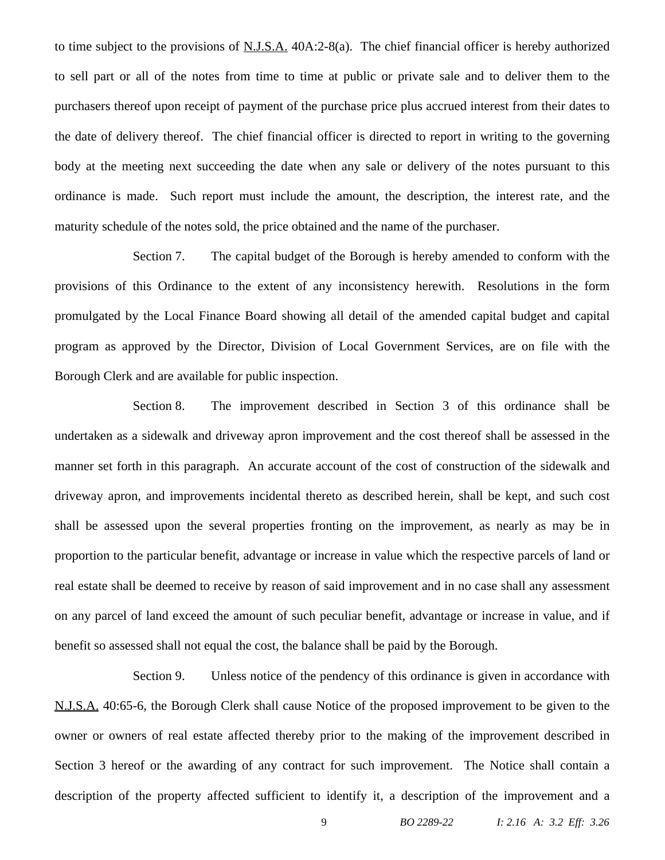to time subject to the provisions of N.J.S.A. 40A:2-8(a). The chief financial officer is hereby authorized to sell part or all of the notes from time to time at public or private sale and to deliver them to the purchasers thereof upon receipt of payment of the purchase price plus accrued interest from their dates to the date of delivery thereof. The chief financial officer is directed to report in writing to the governing body at the meeting next succeeding the date when any sale or delivery of the notes pursuant to this ordinance is made. Such report must include the amount, the description, the interest rate, and the maturity schedule of the notes sold, the price obtained and the name of the purchaser.

Section 7. The capital budget of the Borough is hereby amended to conform with the provisions of this Ordinance to the extent of any inconsistency herewith. Resolutions in the form promulgated by the Local Finance Board showing all detail of the amended capital budget and capital program as approved by the Director, Division of Local Government Services, are on file with the Borough Clerk and are available for public inspection.

Section 8. The improvement described in Section 3 of this ordinance shall be undertaken as a sidewalk and driveway apron improvement and the cost thereof shall be assessed in the manner set forth in this paragraph. An accurate account of the cost of construction of the sidewalk and driveway apron, and improvements incidental thereto as described herein, shall be kept, and such cost shall be assessed upon the several properties fronting on the improvement, as nearly as may be in proportion to the particular benefit, advantage or increase in value which the respective parcels of land or real estate shall be deemed to receive by reason of said improvement and in no case shall any assessment on any parcel of land exceed the amount of such peculiar benefit, advantage or increase in value, and if benefit so assessed shall not equal the cost, the balance shall be paid by the Borough.

Section 9. Unless notice of the pendency of this ordinance is given in accordance with N.J.S.A. 40:65-6, the Borough Clerk shall cause Notice of the proposed improvement to be given to the owner or owners of real estate affected thereby prior to the making of the improvement described in Section 3 hereof or the awarding of any contract for such improvement. The Notice shall contain a description of the property affected sufficient to identify it, a description of the improvement and a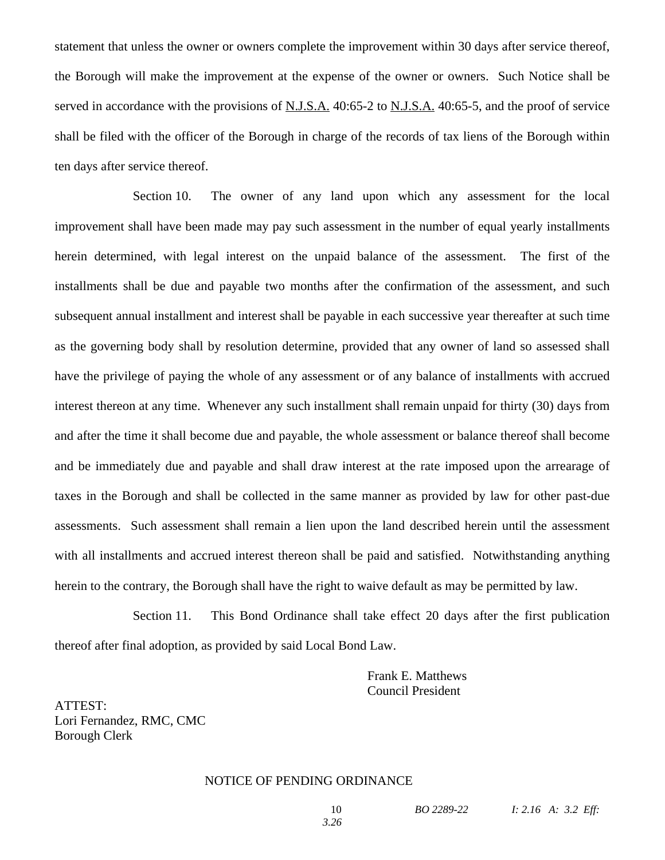statement that unless the owner or owners complete the improvement within 30 days after service thereof, the Borough will make the improvement at the expense of the owner or owners. Such Notice shall be served in accordance with the provisions of N.J.S.A. 40:65-2 to N.J.S.A. 40:65-5, and the proof of service shall be filed with the officer of the Borough in charge of the records of tax liens of the Borough within ten days after service thereof.

Section 10. The owner of any land upon which any assessment for the local improvement shall have been made may pay such assessment in the number of equal yearly installments herein determined, with legal interest on the unpaid balance of the assessment. The first of the installments shall be due and payable two months after the confirmation of the assessment, and such subsequent annual installment and interest shall be payable in each successive year thereafter at such time as the governing body shall by resolution determine, provided that any owner of land so assessed shall have the privilege of paying the whole of any assessment or of any balance of installments with accrued interest thereon at any time. Whenever any such installment shall remain unpaid for thirty (30) days from and after the time it shall become due and payable, the whole assessment or balance thereof shall become and be immediately due and payable and shall draw interest at the rate imposed upon the arrearage of taxes in the Borough and shall be collected in the same manner as provided by law for other past-due assessments. Such assessment shall remain a lien upon the land described herein until the assessment with all installments and accrued interest thereon shall be paid and satisfied. Notwithstanding anything herein to the contrary, the Borough shall have the right to waive default as may be permitted by law.

Section 11. This Bond Ordinance shall take effect 20 days after the first publication thereof after final adoption, as provided by said Local Bond Law.

> Frank E. Matthews Council President

ATTEST: Lori Fernandez, RMC, CMC Borough Clerk

#### NOTICE OF PENDING ORDINANCE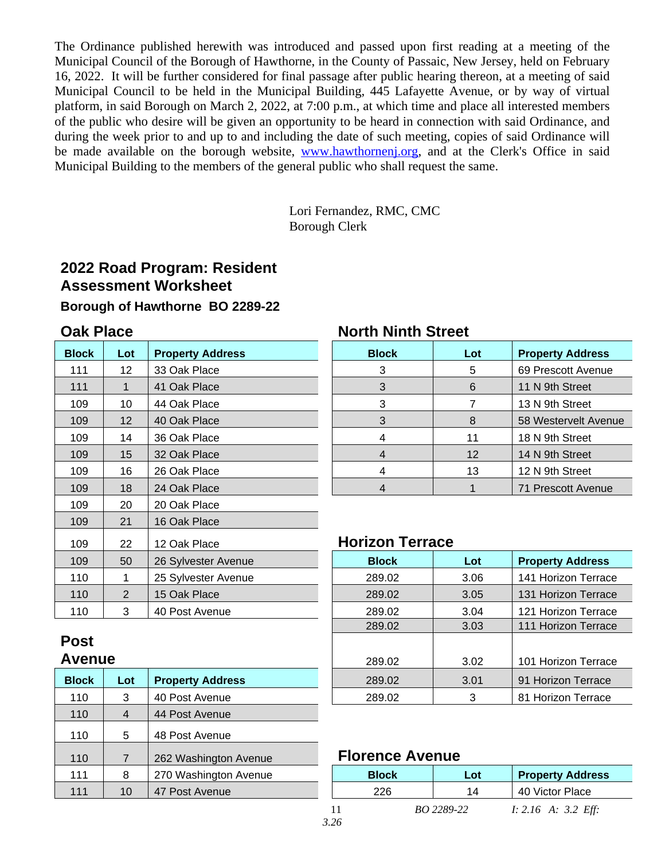The Ordinance published herewith was introduced and passed upon first reading at a meeting of the Municipal Council of the Borough of Hawthorne, in the County of Passaic, New Jersey, held on February 16, 2022. It will be further considered for final passage after public hearing thereon, at a meeting of said Municipal Council to be held in the Municipal Building, 445 Lafayette Avenue, or by way of virtual platform, in said Borough on March 2, 2022, at 7:00 p.m., at which time and place all interested members of the public who desire will be given an opportunity to be heard in connection with said Ordinance, and during the week prior to and up to and including the date of such meeting, copies of said Ordinance will be made available on the borough website, [www.hawthornenj.org](http://www.hawthornenj.org), and at the Clerk's Office in said Municipal Building to the members of the general public who shall request the same.

> Lori Fernandez, RMC, CMC Borough Clerk

# **2022 Road Program: Resident Assessment Worksheet**

# **Borough of Hawthorne BO 2289-22**

| <b>Block</b> | Lot | <b>Property Address</b> |  |  |
|--------------|-----|-------------------------|--|--|
| 111          | 12  | 33 Oak Place            |  |  |
| 111          | 1   | 41 Oak Place            |  |  |
| 109          | 10  | 44 Oak Place            |  |  |
| 109          | 12  | 40 Oak Place            |  |  |
| 109          | 14  | 36 Oak Place            |  |  |
| 109          | 15  | 32 Oak Place            |  |  |
| 109          | 16  | 26 Oak Place            |  |  |
| 109          | 18  | 24 Oak Place            |  |  |
| 109          | 20  | 20 Oak Place            |  |  |
| 109          | 21  | 16 Oak Place            |  |  |
| 109          | 22  | 12 Oak Place            |  |  |
| 109          | 50  | 26 Sylvester Avenue     |  |  |
| 110          | 1   | 25 Sylvester Avenue     |  |  |
| 110          | 2   | 15 Oak Place            |  |  |
| 110          | 3   | 40 Post Avenue          |  |  |

# **Oak Place North Ninth Street**

| <b>Block</b> | Lot | <b>Property Address</b> | <b>Block</b> | Lot | <b>Property Address</b> |
|--------------|-----|-------------------------|--------------|-----|-------------------------|
| 111          | 12  | 33 Oak Place            | 3            | 5   | 69 Prescott Avenue      |
| 111          |     | 41 Oak Place            | 3            | 6   | 11 N 9th Street         |
| 109          | 10  | 44 Oak Place            | 3            |     | 13 N 9th Street         |
| 109          | 12  | 40 Oak Place            | 3            | 8   | 58 Westervelt Avenue    |
| 109          | 14  | 36 Oak Place            | 4            | 11  | 18 N 9th Street         |
| 109          | 15  | 32 Oak Place            | 4            | 12  | 14 N 9th Street         |
| 109          | 16  | 26 Oak Place            | 4            | 13  | 12 N 9th Street         |
| 109          | 18  | 24 Oak Place            | 4            |     | 71 Prescott Avenue      |
|              |     |                         |              |     |                         |

# **Horizon Terrace**

| 109          | 50  | 26 Sylvester Avenue     | <b>Block</b> | Lot                 | <b>Property Address</b> |
|--------------|-----|-------------------------|--------------|---------------------|-------------------------|
| 110          |     | 25 Sylvester Avenue     | 289.02       | 3.06                | 141 Horizon Terrace     |
| 110          | 2   | 15 Oak Place            | 289.02       | 3.05                | 131 Horizon Terrace     |
| 110          | 3   | 40 Post Avenue          | 289.02       | 3.04                | 121 Horizon Terrace     |
|              |     |                         | 289.02       | 3.03                | 111 Horizon Terrace     |
| <b>Post</b>  |     |                         |              |                     |                         |
| Avenue       |     | 289.02                  | 3.02         | 101 Horizon Terrace |                         |
| <b>Block</b> | Lot | <b>Property Address</b> | 289.02       | 3.01                | 91 Horizon Terrace      |
| 110          | 3   | 40 Post Avenue          | 289.02       | 3                   | 81 Horizon Terrace      |
|              |     |                         |              |                     |                         |

# 110 7 262 Washington Avenue **Florence Avenue**

| 1 I V |    | ZOZ VYASHIHYUUT AVEHUE | $\blacksquare$ |            |                         |
|-------|----|------------------------|----------------|------------|-------------------------|
| 111   |    | 270 Washington Avenue  | <b>Block</b>   | Lot        | <b>Property Address</b> |
| 111   | 10 | 47 Post Avenue         | 226            | 14         | 40 Victor Place         |
|       |    |                        | $\sim$ $\sim$  | BO 2289-22 | $I: 2.16$ A: 3.2 Eff:   |

# **Post**

| <b>Block</b> | Lot | <b>Property Address</b> |
|--------------|-----|-------------------------|
| 110          | 3   | 40 Post Avenue          |
| 110          | 4   | 44 Post Avenue          |
| 110          | 5   | 48 Post Avenue          |
| 110          | 7   | 262 Washington Avenue   |
| 111          | 8   | 270 Washington Avenue   |
| 111          | 10  | 47 Post Avenue          |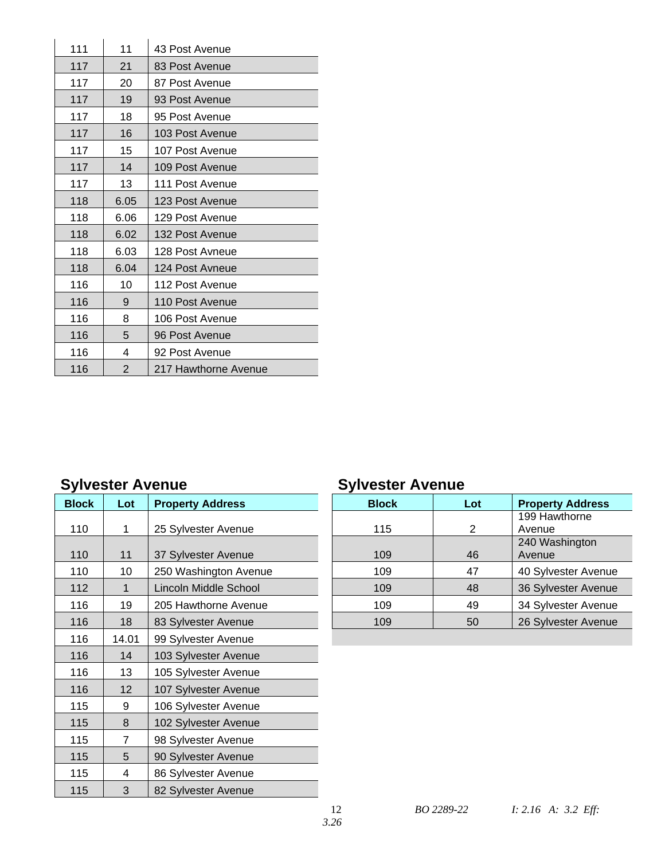| 111 | 11             | 43 Post Avenue       |
|-----|----------------|----------------------|
| 117 | 21             | 83 Post Avenue       |
| 117 | 20             | 87 Post Avenue       |
| 117 | 19             | 93 Post Avenue       |
| 117 | 18             | 95 Post Avenue       |
| 117 | 16             | 103 Post Avenue      |
| 117 | 15             | 107 Post Avenue      |
| 117 | 14             | 109 Post Avenue      |
| 117 | 13             | 111 Post Avenue      |
| 118 | 6.05           | 123 Post Avenue      |
| 118 | 6.06           | 129 Post Avenue      |
| 118 | 6.02           | 132 Post Avenue      |
| 118 | 6.03           | 128 Post Avneue      |
| 118 | 6.04           | 124 Post Avneue      |
| 116 | 10             | 112 Post Avenue      |
| 116 | 9              | 110 Post Avenue      |
| 116 | 8              | 106 Post Avenue      |
| 116 | 5              | 96 Post Avenue       |
| 116 | 4              | 92 Post Avenue       |
| 116 | $\overline{2}$ | 217 Hawthorne Avenue |

| <b>Block</b> | Lot   | <b>Property Address</b> | <b>Block</b> | Lot            |
|--------------|-------|-------------------------|--------------|----------------|
| 110          | 1     | 25 Sylvester Avenue     | 115          | $\overline{2}$ |
| 110          | 11    | 37 Sylvester Avenue     | 109          | 46             |
| 110          | 10    | 250 Washington Avenue   | 109          | 47             |
| 112          |       | Lincoln Middle School   | 109          | 48             |
| 116          | 19    | 205 Hawthorne Avenue    | 109          | 49             |
| 116          | 18    | 83 Sylvester Avenue     | 109          | 50             |
| 116          | 14.01 | 99 Sylvester Avenue     |              |                |
| 116          | 14    | 103 Sylvester Avenue    |              |                |
| 116          | 13    | 105 Sylvester Avenue    |              |                |
| 116          | 12    | 107 Sylvester Avenue    |              |                |
| 115          | 9     | 106 Sylvester Avenue    |              |                |
| 115          | 8     | 102 Sylvester Avenue    |              |                |
| 115          | 7     | 98 Sylvester Avenue     |              |                |
| 115          | 5     | 90 Sylvester Avenue     |              |                |
| 115          | 4     | 86 Sylvester Avenue     |              |                |
| 115          | 3     | 82 Sylvester Avenue     |              |                |
|              |       |                         |              |                |

# **Sylvester Avenue Sylvester Avenue**

|              |     |                         | -            |     |                         |
|--------------|-----|-------------------------|--------------|-----|-------------------------|
| <b>Block</b> | Lot | <b>Property Address</b> | <b>Block</b> | Lot | <b>Property Address</b> |
|              |     |                         |              |     | 199 Hawthorne           |
| 110          |     | 25 Sylvester Avenue     | 115          | 2   | Avenue                  |
|              |     |                         |              |     | 240 Washington          |
| 110          | 11  | 37 Sylvester Avenue     | 109          | 46  | Avenue                  |
| 110          | 10  | 250 Washington Avenue   | 109          | 47  | 40 Sylvester Avenue     |
| 112          |     | Lincoln Middle School   | 109          | 48  | 36 Sylvester Avenue     |
| 116          | 19  | 205 Hawthorne Avenue    | 109          | 49  | 34 Sylvester Avenue     |
| 116          | 18  | 83 Sylvester Avenue     | 109          | 50  | 26 Sylvester Avenue     |
|              |     |                         |              |     |                         |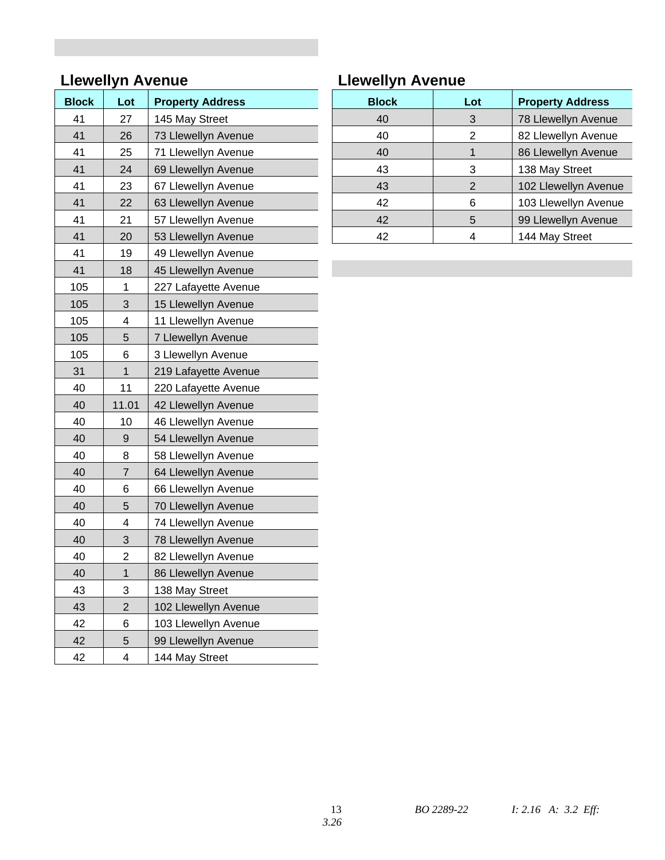# **Llewellyn Avenue Llewellyn Avenue**

| <b>Block</b> | Lot            | <b>Property Address</b> |
|--------------|----------------|-------------------------|
| 41           | 27             | 145 May Street          |
| 41           | 26             | 73 Llewellyn Avenue     |
| 41           | 25             | 71 Llewellyn Avenue     |
| 41           | 24             | 69 Llewellyn Avenue     |
| 41           | 23             | 67 Llewellyn Avenue     |
| 41           | 22             | 63 Llewellyn Avenue     |
| 41           | 21             | 57 Llewellyn Avenue     |
| 41           | 20             | 53 Llewellyn Avenue     |
| 41           | 19             | 49 Llewellyn Avenue     |
| 41           | 18             | 45 Llewellyn Avenue     |
| 105          | 1              | 227 Lafayette Avenue    |
| 105          | 3              | 15 Llewellyn Avenue     |
| 105          | 4              | 11 Llewellyn Avenue     |
| 105          | 5              | 7 Llewellyn Avenue      |
| 105          | 6              | 3 Llewellyn Avenue      |
| 31           | $\mathbf{1}$   | 219 Lafayette Avenue    |
| 40           | 11             | 220 Lafayette Avenue    |
| 40           | 11.01          | 42 Llewellyn Avenue     |
| 40           | 10             | 46 Llewellyn Avenue     |
| 40           | 9              | 54 Llewellyn Avenue     |
| 40           | 8              | 58 Llewellyn Avenue     |
| 40           | 7              | 64 Llewellyn Avenue     |
| 40           | 6              | 66 Llewellyn Avenue     |
| 40           | 5              | 70 Llewellyn Avenue     |
| 40           | 4              | 74 Llewellyn Avenue     |
| 40           | 3              | 78 Llewellyn Avenue     |
| 40           | 2              | 82 Llewellyn Avenue     |
| 40           | 1              | 86 Llewellyn Avenue     |
| 43           | 3              | 138 May Street          |
| 43           | $\overline{2}$ | 102 Llewellyn Avenue    |
| 42           | 6              | 103 Llewellyn Avenue    |
| 42           | 5              | 99 Llewellyn Avenue     |
| 42           | 4              | 144 May Street          |

| <b>Block</b> | Lot | <b>Property Address</b> | <b>Block</b> | Lot | <b>Property Address</b> |
|--------------|-----|-------------------------|--------------|-----|-------------------------|
| 41           | 27  | 145 May Street          | 40           | 3   | 78 Llewellyn Avenue     |
| 41           | 26  | 73 Llewellyn Avenue     | 40           | 2   | 82 Llewellyn Avenue     |
| 41           | 25  | 71 Llewellyn Avenue     | 40           |     | 86 Llewellyn Avenue     |
| 41           | 24  | 69 Llewellyn Avenue     | 43           | 3   | 138 May Street          |
| 41           | 23  | 67 Llewellyn Avenue     | 43           | 2   | 102 Llewellyn Avenue    |
| 41           | 22  | 63 Llewellyn Avenue     | 42           | 6   | 103 Llewellyn Avenue    |
| 41           | 21  | 57 Llewellyn Avenue     | 42           | 5   | 99 Llewellyn Avenue     |
| 41           | 20  | 53 Llewellyn Avenue     | 42           | 4   | 144 May Street          |
|              |     |                         |              |     |                         |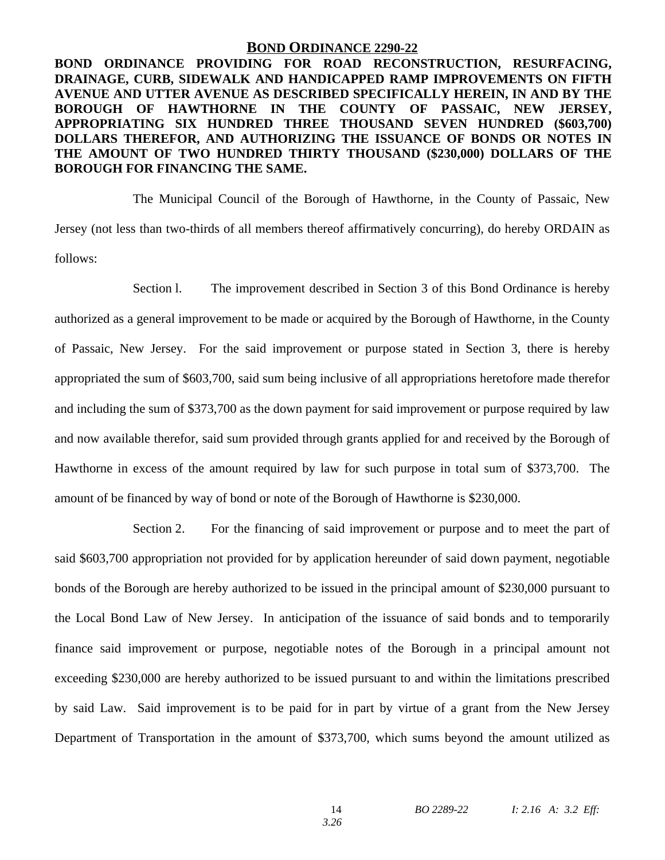#### **BOND ORDINANCE 2290-22**

**BOND ORDINANCE PROVIDING FOR ROAD RECONSTRUCTION, RESURFACING, DRAINAGE, CURB, SIDEWALK AND HANDICAPPED RAMP IMPROVEMENTS ON FIFTH AVENUE AND UTTER AVENUE AS DESCRIBED SPECIFICALLY HEREIN, IN AND BY THE BOROUGH OF HAWTHORNE IN THE COUNTY OF PASSAIC, NEW JERSEY, APPROPRIATING SIX HUNDRED THREE THOUSAND SEVEN HUNDRED (\$603,700) DOLLARS THEREFOR, AND AUTHORIZING THE ISSUANCE OF BONDS OR NOTES IN THE AMOUNT OF TWO HUNDRED THIRTY THOUSAND (\$230,000) DOLLARS OF THE BOROUGH FOR FINANCING THE SAME.**

The Municipal Council of the Borough of Hawthorne, in the County of Passaic, New Jersey (not less than two-thirds of all members thereof affirmatively concurring), do hereby ORDAIN as follows:

Section l. The improvement described in Section 3 of this Bond Ordinance is hereby authorized as a general improvement to be made or acquired by the Borough of Hawthorne, in the County of Passaic, New Jersey. For the said improvement or purpose stated in Section 3, there is hereby appropriated the sum of \$603,700, said sum being inclusive of all appropriations heretofore made therefor and including the sum of \$373,700 as the down payment for said improvement or purpose required by law and now available therefor, said sum provided through grants applied for and received by the Borough of Hawthorne in excess of the amount required by law for such purpose in total sum of \$373,700. The amount of be financed by way of bond or note of the Borough of Hawthorne is \$230,000.

Section 2. For the financing of said improvement or purpose and to meet the part of said \$603,700 appropriation not provided for by application hereunder of said down payment, negotiable bonds of the Borough are hereby authorized to be issued in the principal amount of \$230,000 pursuant to the Local Bond Law of New Jersey. In anticipation of the issuance of said bonds and to temporarily finance said improvement or purpose, negotiable notes of the Borough in a principal amount not exceeding \$230,000 are hereby authorized to be issued pursuant to and within the limitations prescribed by said Law. Said improvement is to be paid for in part by virtue of a grant from the New Jersey Department of Transportation in the amount of \$373,700, which sums beyond the amount utilized as

*3.26*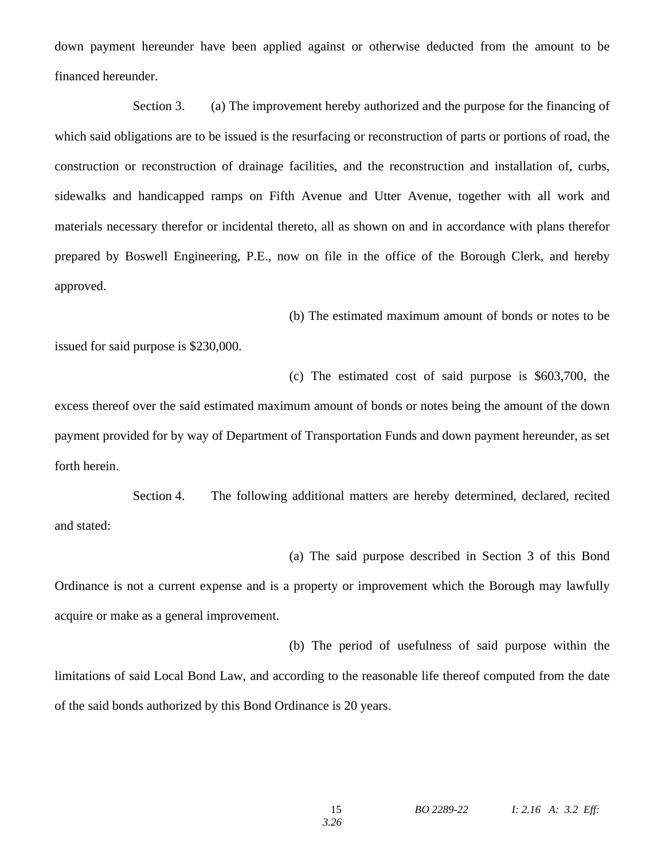down payment hereunder have been applied against or otherwise deducted from the amount to be financed hereunder.

Section 3. (a) The improvement hereby authorized and the purpose for the financing of which said obligations are to be issued is the resurfacing or reconstruction of parts or portions of road, the construction or reconstruction of drainage facilities, and the reconstruction and installation of, curbs, sidewalks and handicapped ramps on Fifth Avenue and Utter Avenue, together with all work and materials necessary therefor or incidental thereto, all as shown on and in accordance with plans therefor prepared by Boswell Engineering, P.E., now on file in the office of the Borough Clerk, and hereby approved.

(b) The estimated maximum amount of bonds or notes to be

issued for said purpose is \$230,000.

(c) The estimated cost of said purpose is \$603,700, the

excess thereof over the said estimated maximum amount of bonds or notes being the amount of the down payment provided for by way of Department of Transportation Funds and down payment hereunder, as set forth herein.

Section 4. The following additional matters are hereby determined, declared, recited and stated:

(a) The said purpose described in Section 3 of this Bond Ordinance is not a current expense and is a property or improvement which the Borough may lawfully acquire or make as a general improvement.

(b) The period of usefulness of said purpose within the limitations of said Local Bond Law, and according to the reasonable life thereof computed from the date of the said bonds authorized by this Bond Ordinance is 20 years.

*3.26*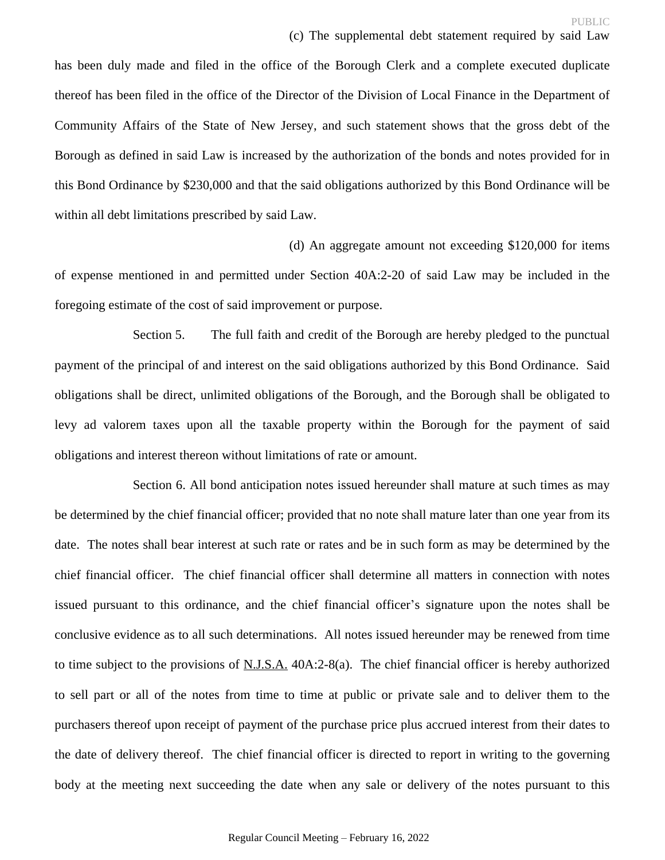has been duly made and filed in the office of the Borough Clerk and a complete executed duplicate thereof has been filed in the office of the Director of the Division of Local Finance in the Department of Community Affairs of the State of New Jersey, and such statement shows that the gross debt of the Borough as defined in said Law is increased by the authorization of the bonds and notes provided for in this Bond Ordinance by \$230,000 and that the said obligations authorized by this Bond Ordinance will be within all debt limitations prescribed by said Law.

(d) An aggregate amount not exceeding \$120,000 for items of expense mentioned in and permitted under Section 40A:2-20 of said Law may be included in the foregoing estimate of the cost of said improvement or purpose.

Section 5. The full faith and credit of the Borough are hereby pledged to the punctual payment of the principal of and interest on the said obligations authorized by this Bond Ordinance. Said obligations shall be direct, unlimited obligations of the Borough, and the Borough shall be obligated to levy ad valorem taxes upon all the taxable property within the Borough for the payment of said obligations and interest thereon without limitations of rate or amount.

Section 6. All bond anticipation notes issued hereunder shall mature at such times as may be determined by the chief financial officer; provided that no note shall mature later than one year from its date. The notes shall bear interest at such rate or rates and be in such form as may be determined by the chief financial officer. The chief financial officer shall determine all matters in connection with notes issued pursuant to this ordinance, and the chief financial officer's signature upon the notes shall be conclusive evidence as to all such determinations. All notes issued hereunder may be renewed from time to time subject to the provisions of N.J.S.A. 40A:2-8(a). The chief financial officer is hereby authorized to sell part or all of the notes from time to time at public or private sale and to deliver them to the purchasers thereof upon receipt of payment of the purchase price plus accrued interest from their dates to the date of delivery thereof. The chief financial officer is directed to report in writing to the governing body at the meeting next succeeding the date when any sale or delivery of the notes pursuant to this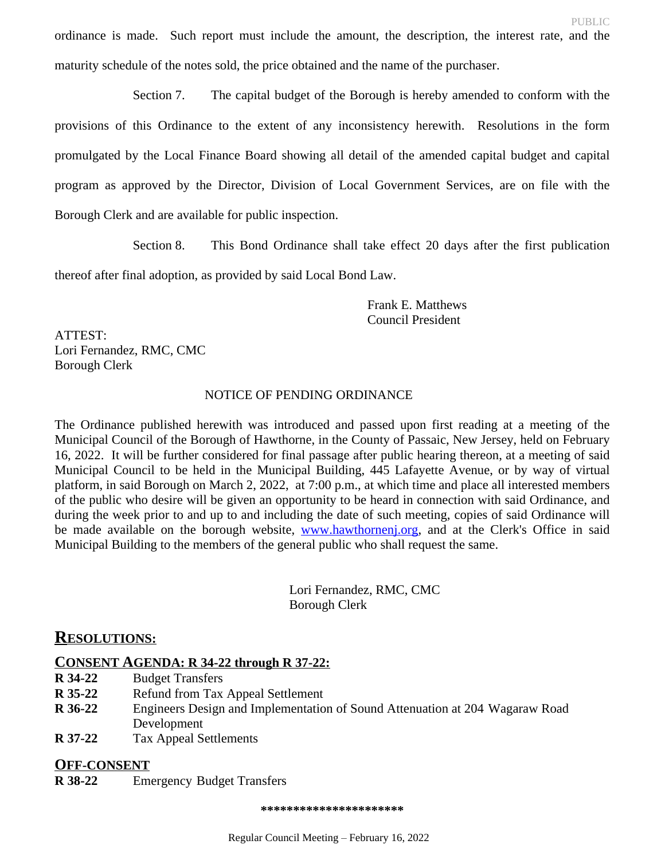ordinance is made. Such report must include the amount, the description, the interest rate, and the maturity schedule of the notes sold, the price obtained and the name of the purchaser.

Section 7. The capital budget of the Borough is hereby amended to conform with the provisions of this Ordinance to the extent of any inconsistency herewith. Resolutions in the form promulgated by the Local Finance Board showing all detail of the amended capital budget and capital program as approved by the Director, Division of Local Government Services, are on file with the Borough Clerk and are available for public inspection.

Section 8. This Bond Ordinance shall take effect 20 days after the first publication

thereof after final adoption, as provided by said Local Bond Law.

Frank E. Matthews Council President

ATTEST: Lori Fernandez, RMC, CMC Borough Clerk

# NOTICE OF PENDING ORDINANCE

The Ordinance published herewith was introduced and passed upon first reading at a meeting of the Municipal Council of the Borough of Hawthorne, in the County of Passaic, New Jersey, held on February 16, 2022. It will be further considered for final passage after public hearing thereon, at a meeting of said Municipal Council to be held in the Municipal Building, 445 Lafayette Avenue, or by way of virtual platform, in said Borough on March 2, 2022, at 7:00 p.m., at which time and place all interested members of the public who desire will be given an opportunity to be heard in connection with said Ordinance, and during the week prior to and up to and including the date of such meeting, copies of said Ordinance will be made available on the borough website, [www.hawthornenj.org](http://www.hawthornenj.org), and at the Clerk's Office in said Municipal Building to the members of the general public who shall request the same.

> Lori Fernandez, RMC, CMC Borough Clerk

# **RESOLUTIONS:**

# **CONSENT AGENDA: R 34-22 through R 37-22:**

- **R 34-22** Budget Transfers<br>**R 35-22** Refund from Tax
- **Refund from Tax Appeal Settlement**
- **R 36-22** Engineers Design and Implementation of Sound Attenuation at 204 Wagaraw Road Development
- **R 37-22** Tax Appeal Settlements

# **OFF-CONSENT**

**R 38-22** Emergency Budget Transfers

**\*\*\*\*\*\*\*\*\*\*\*\*\*\*\*\*\*\*\*\*\*\***